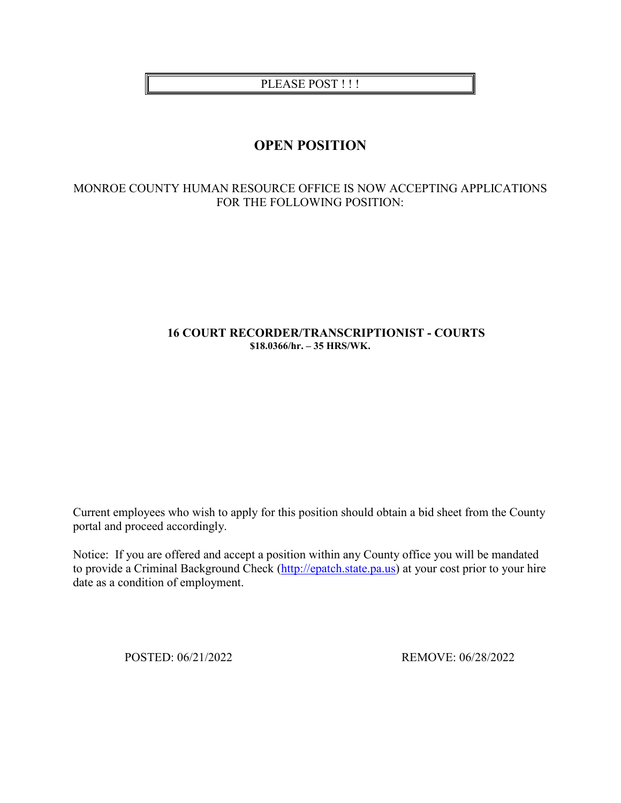PLEASE POST!!!

# **OPEN POSITION**

# MONROE COUNTY HUMAN RESOURCE OFFICE IS NOW ACCEPTING APPLICATIONS FOR THE FOLLOWING POSITION:

## **16 COURT RECORDER/TRANSCRIPTIONIST - COURTS \$18.0366/hr. – 35 HRS/WK.**

Current employees who wish to apply for this position should obtain a bid sheet from the County portal and proceed accordingly.

Notice: If you are offered and accept a position within any County office you will be mandated to provide a Criminal Background Check [\(http://epatch.state.pa.us\)](http://epatch.state.pa.us/) at your cost prior to your hire date as a condition of employment.

POSTED: 06/21/2022 REMOVE: 06/28/2022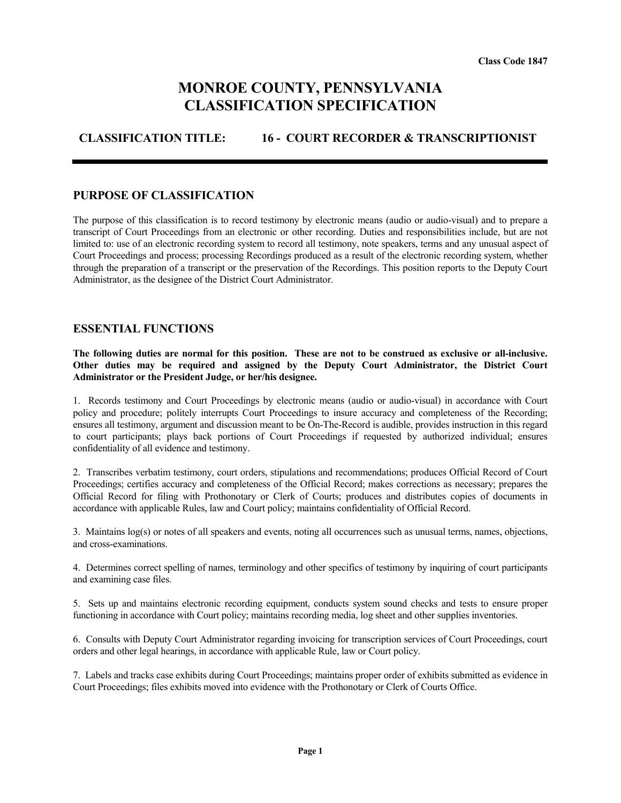# **MONROE COUNTY, PENNSYLVANIA CLASSIFICATION SPECIFICATION**

## **CLASSIFICATION TITLE: 16 - COURT RECORDER & TRANSCRIPTIONIST**

#### **PURPOSE OF CLASSIFICATION**

The purpose of this classification is to record testimony by electronic means (audio or audio-visual) and to prepare a transcript of Court Proceedings from an electronic or other recording. Duties and responsibilities include, but are not limited to: use of an electronic recording system to record all testimony, note speakers, terms and any unusual aspect of Court Proceedings and process; processing Recordings produced as a result of the electronic recording system, whether through the preparation of a transcript or the preservation of the Recordings. This position reports to the Deputy Court Administrator, as the designee of the District Court Administrator.

#### **ESSENTIAL FUNCTIONS**

**The following duties are normal for this position. These are not to be construed as exclusive or all-inclusive. Other duties may be required and assigned by the Deputy Court Administrator, the District Court Administrator or the President Judge, or her/his designee.**

1. Records testimony and Court Proceedings by electronic means (audio or audio-visual) in accordance with Court policy and procedure; politely interrupts Court Proceedings to insure accuracy and completeness of the Recording; ensures all testimony, argument and discussion meant to be On-The-Record is audible, provides instruction in this regard to court participants; plays back portions of Court Proceedings if requested by authorized individual; ensures confidentiality of all evidence and testimony.

2. Transcribes verbatim testimony, court orders, stipulations and recommendations; produces Official Record of Court Proceedings; certifies accuracy and completeness of the Official Record; makes corrections as necessary; prepares the Official Record for filing with Prothonotary or Clerk of Courts; produces and distributes copies of documents in accordance with applicable Rules, law and Court policy; maintains confidentiality of Official Record.

3. Maintains log(s) or notes of all speakers and events, noting all occurrences such as unusual terms, names, objections, and cross-examinations.

4. Determines correct spelling of names, terminology and other specifics of testimony by inquiring of court participants and examining case files.

5. Sets up and maintains electronic recording equipment, conducts system sound checks and tests to ensure proper functioning in accordance with Court policy; maintains recording media, log sheet and other supplies inventories.

6. Consults with Deputy Court Administrator regarding invoicing for transcription services of Court Proceedings, court orders and other legal hearings, in accordance with applicable Rule, law or Court policy.

7. Labels and tracks case exhibits during Court Proceedings; maintains proper order of exhibits submitted as evidence in Court Proceedings; files exhibits moved into evidence with the Prothonotary or Clerk of Courts Office.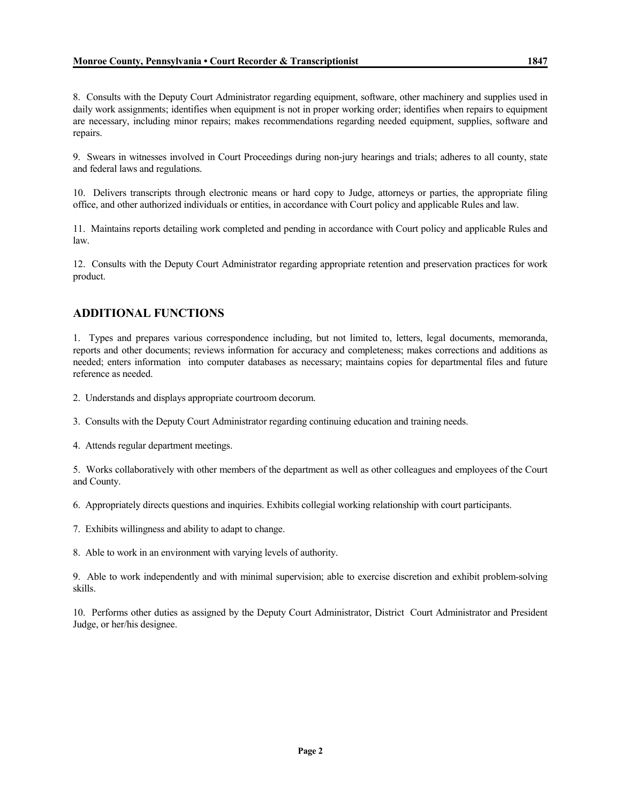8. Consults with the Deputy Court Administrator regarding equipment, software, other machinery and supplies used in daily work assignments; identifies when equipment is not in proper working order; identifies when repairs to equipment are necessary, including minor repairs; makes recommendations regarding needed equipment, supplies, software and repairs.

9. Swears in witnesses involved in Court Proceedings during non-jury hearings and trials; adheres to all county, state and federal laws and regulations.

10. Delivers transcripts through electronic means or hard copy to Judge, attorneys or parties, the appropriate filing office, and other authorized individuals or entities, in accordance with Court policy and applicable Rules and law.

11. Maintains reports detailing work completed and pending in accordance with Court policy and applicable Rules and law.

12. Consults with the Deputy Court Administrator regarding appropriate retention and preservation practices for work product.

# **ADDITIONAL FUNCTIONS**

1. Types and prepares various correspondence including, but not limited to, letters, legal documents, memoranda, reports and other documents; reviews information for accuracy and completeness; makes corrections and additions as needed; enters information into computer databases as necessary; maintains copies for departmental files and future reference as needed.

2. Understands and displays appropriate courtroom decorum.

3. Consults with the Deputy Court Administrator regarding continuing education and training needs.

4. Attends regular department meetings.

5. Works collaboratively with other members of the department as well as other colleagues and employees of the Court and County.

6. Appropriately directs questions and inquiries. Exhibits collegial working relationship with court participants.

7. Exhibits willingness and ability to adapt to change.

8. Able to work in an environment with varying levels of authority.

9. Able to work independently and with minimal supervision; able to exercise discretion and exhibit problem-solving skills.

10. Performs other duties as assigned by the Deputy Court Administrator, District Court Administrator and President Judge, or her/his designee.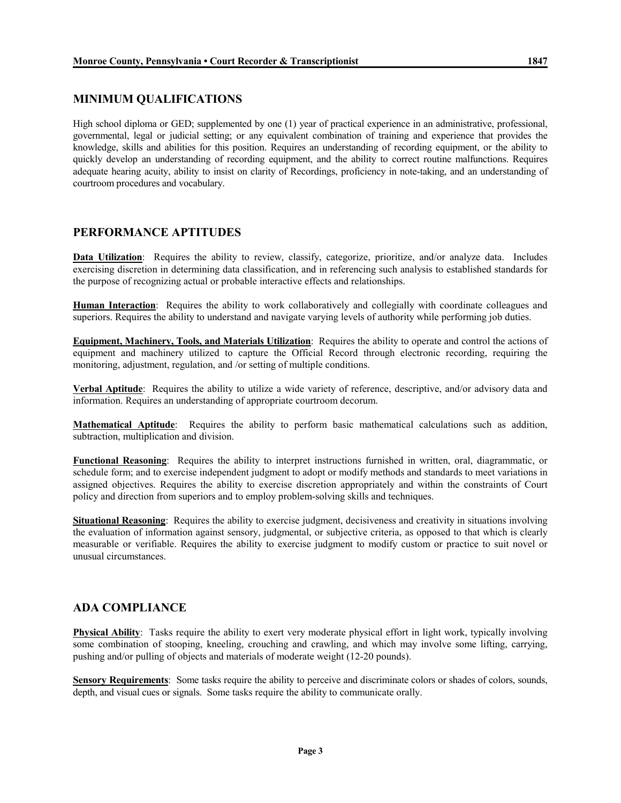## **MINIMUM QUALIFICATIONS**

High school diploma or GED; supplemented by one (1) year of practical experience in an administrative, professional, governmental, legal or judicial setting; or any equivalent combination of training and experience that provides the knowledge, skills and abilities for this position. Requires an understanding of recording equipment, or the ability to quickly develop an understanding of recording equipment, and the ability to correct routine malfunctions. Requires adequate hearing acuity, ability to insist on clarity of Recordings, proficiency in note-taking, and an understanding of courtroom procedures and vocabulary.

## **PERFORMANCE APTITUDES**

**Data Utilization**: Requires the ability to review, classify, categorize, prioritize, and/or analyze data. Includes exercising discretion in determining data classification, and in referencing such analysis to established standards for the purpose of recognizing actual or probable interactive effects and relationships.

**Human Interaction**: Requires the ability to work collaboratively and collegially with coordinate colleagues and superiors. Requires the ability to understand and navigate varying levels of authority while performing job duties.

**Equipment, Machinery, Tools, and Materials Utilization**: Requires the ability to operate and control the actions of equipment and machinery utilized to capture the Official Record through electronic recording, requiring the monitoring, adjustment, regulation, and /or setting of multiple conditions.

**Verbal Aptitude**: Requires the ability to utilize a wide variety of reference, descriptive, and/or advisory data and information. Requires an understanding of appropriate courtroom decorum.

**Mathematical Aptitude**: Requires the ability to perform basic mathematical calculations such as addition, subtraction, multiplication and division.

**Functional Reasoning**: Requires the ability to interpret instructions furnished in written, oral, diagrammatic, or schedule form; and to exercise independent judgment to adopt or modify methods and standards to meet variations in assigned objectives. Requires the ability to exercise discretion appropriately and within the constraints of Court policy and direction from superiors and to employ problem-solving skills and techniques.

**Situational Reasoning**: Requires the ability to exercise judgment, decisiveness and creativity in situations involving the evaluation of information against sensory, judgmental, or subjective criteria, as opposed to that which is clearly measurable or verifiable. Requires the ability to exercise judgment to modify custom or practice to suit novel or unusual circumstances.

### **ADA COMPLIANCE**

**Physical Ability**: Tasks require the ability to exert very moderate physical effort in light work, typically involving some combination of stooping, kneeling, crouching and crawling, and which may involve some lifting, carrying, pushing and/or pulling of objects and materials of moderate weight (12-20 pounds).

Sensory Requirements: Some tasks require the ability to perceive and discriminate colors or shades of colors, sounds, depth, and visual cues or signals. Some tasks require the ability to communicate orally.